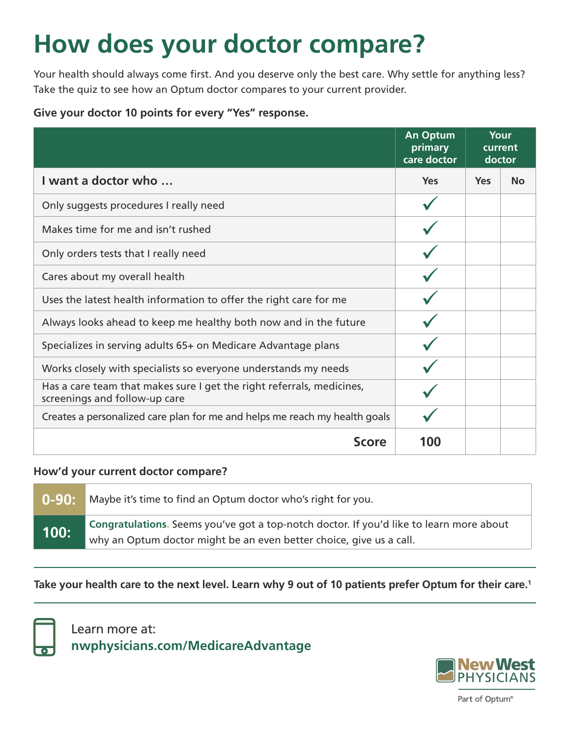# **How does your doctor compare?**

Your health should always come first. And you deserve only the best care. Why settle for anything less? Take the quiz to see how an Optum doctor compares to your current provider.

## **Give your doctor 10 points for every "Yes" response.**

|                                                                                                        | <b>An Optum</b><br>primary<br>care doctor | Your<br>current<br>doctor |           |
|--------------------------------------------------------------------------------------------------------|-------------------------------------------|---------------------------|-----------|
| I want a doctor who                                                                                    | <b>Yes</b>                                | <b>Yes</b>                | <b>No</b> |
| Only suggests procedures I really need                                                                 |                                           |                           |           |
| Makes time for me and isn't rushed                                                                     |                                           |                           |           |
| Only orders tests that I really need                                                                   |                                           |                           |           |
| Cares about my overall health                                                                          |                                           |                           |           |
| Uses the latest health information to offer the right care for me                                      |                                           |                           |           |
| Always looks ahead to keep me healthy both now and in the future                                       |                                           |                           |           |
| Specializes in serving adults 65+ on Medicare Advantage plans                                          |                                           |                           |           |
| Works closely with specialists so everyone understands my needs                                        |                                           |                           |           |
| Has a care team that makes sure I get the right referrals, medicines,<br>screenings and follow-up care |                                           |                           |           |
| Creates a personalized care plan for me and helps me reach my health goals                             |                                           |                           |           |
| <b>Score</b>                                                                                           | 100                                       |                           |           |

#### **How'd your current doctor compare?**

| 0-90: \ | Maybe it's time to find an Optum doctor who's right for you.                                                                                                   |
|---------|----------------------------------------------------------------------------------------------------------------------------------------------------------------|
| 100:    | Congratulations. Seems you've got a top-notch doctor. If you'd like to learn more about<br>why an Optum doctor might be an even better choice, give us a call. |

### **Take your health care to the next level. Learn why 9 out of 10 patients prefer Optum for their care.1**



Learn more at: **nwphysicians.com/MedicareAdvantage**



Part of Optum®